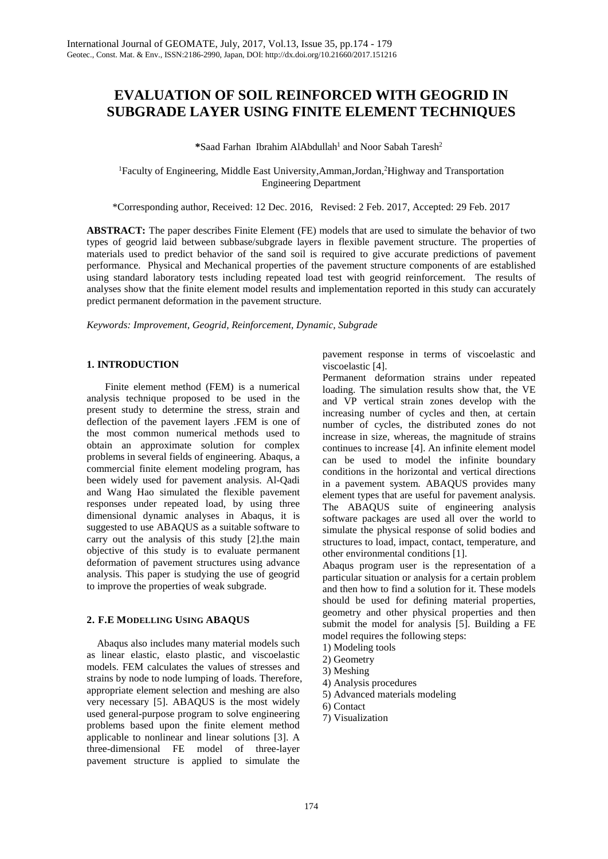# **EVALUATION OF SOIL REINFORCED WITH GEOGRID IN SUBGRADE LAYER USING FINITE ELEMENT TECHNIQUES**

\*Saad Farhan Ibrahim AlAbdullah<sup>1</sup> and Noor Sabah Taresh<sup>2</sup>

<sup>1</sup>Faculty of Engineering, Middle East University, Amman, Jordan, <sup>2</sup>Highway and Transportation Engineering Department

\*Corresponding author, Received: 12 Dec. 2016, Revised: 2 Feb. 2017, Accepted: 29 Feb. 2017

**ABSTRACT:** The paper describes Finite Element (FE) models that are used to simulate the behavior of two types of geogrid laid between subbase/subgrade layers in flexible pavement structure. The properties of materials used to predict behavior of the sand soil is required to give accurate predictions of pavement performance. Physical and Mechanical properties of the pavement structure components of are established using standard laboratory tests including repeated load test with geogrid reinforcement. The results of analyses show that the finite element model results and implementation reported in this study can accurately predict permanent deformation in the pavement structure.

*Keywords: Improvement, Geogrid, Reinforcement, Dynamic, Subgrade*

### **1. INTRODUCTION**

Finite element method (FEM) is a numerical analysis technique proposed to be used in the present study to determine the stress, strain and deflection of the pavement layers .FEM is one of the most common numerical methods used to obtain an approximate solution for complex problems in several fields of engineering. Abaqus, a commercial finite element modeling program, has been widely used for pavement analysis. Al-Qadi and Wang Hao simulated the flexible pavement responses under repeated load, by using three dimensional dynamic analyses in Abaqus, it is suggested to use ABAQUS as a suitable software to carry out the analysis of this study [2].the main objective of this study is to evaluate permanent deformation of pavement structures using advance analysis. This paper is studying the use of geogrid to improve the properties of weak subgrade.

#### **2. F.E MODELLING USING ABAQUS**

 Abaqus also includes many material models such as linear elastic, elasto plastic, and viscoelastic models. FEM calculates the values of stresses and strains by node to node lumping of loads. Therefore, appropriate element selection and meshing are also very necessary [5]. ABAQUS is the most widely used general-purpose program to solve engineering problems based upon the finite element method applicable to nonlinear and linear solutions [3]. A three-dimensional FE model of three-layer pavement structure is applied to simulate the

pavement response in terms of viscoelastic and viscoelastic [4].

Permanent deformation strains under repeated loading. The simulation results show that, the VE and VP vertical strain zones develop with the increasing number of cycles and then, at certain number of cycles, the distributed zones do not increase in size, whereas, the magnitude of strains continues to increase [4]. An infinite element model can be used to model the infinite boundary conditions in the horizontal and vertical directions in a pavement system. ABAQUS provides many element types that are useful for pavement analysis. The ABAQUS suite of engineering analysis software packages are used all over the world to simulate the physical response of solid bodies and structures to load, impact, contact, temperature, and other environmental conditions [1].

Abaqus program user is the representation of a particular situation or analysis for a certain problem and then how to find a solution for it. These models should be used for defining material properties, geometry and other physical properties and then submit the model for analysis [5]. Building a FE model requires the following steps:

- 1) Modeling tools
- 2) Geometry
- 3) Meshing
- 4) Analysis procedures
- 5) Advanced materials modeling
- 6) Contact
- 7) Visualization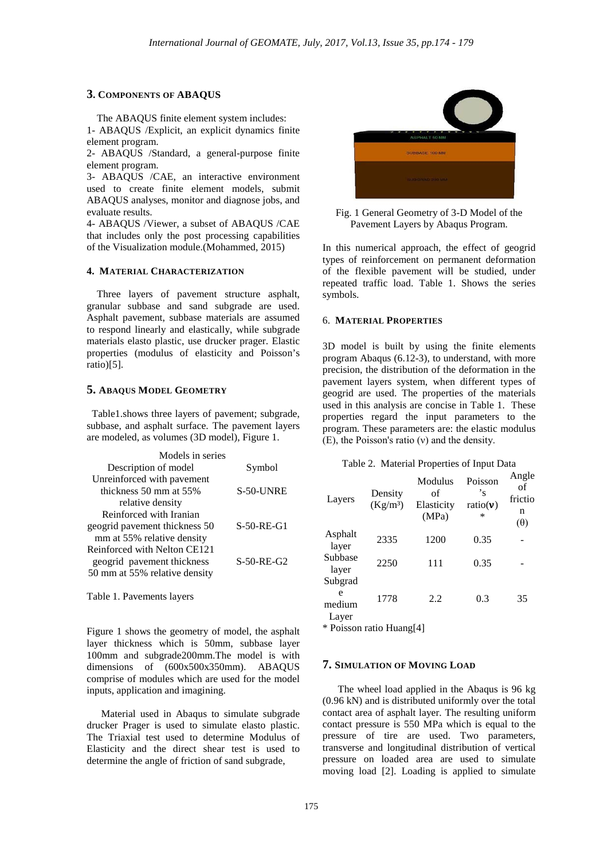#### **3. COMPONENTS OF ABAQUS**

 The ABAQUS finite element system includes: 1- ABAQUS /Explicit, an explicit dynamics finite element program.

2- ABAQUS /Standard, a general-purpose finite element program.

3- ABAQUS /CAE, an interactive environment used to create finite element models, submit ABAQUS analyses, monitor and diagnose jobs, and evaluate results.

4- ABAQUS /Viewer, a subset of ABAQUS /CAE that includes only the post processing capabilities of the Visualization module.(Mohammed, 2015)

#### **4. MATERIAL CHARACTERIZATION**

 Three layers of pavement structure asphalt, granular subbase and sand subgrade are used. Asphalt pavement, subbase materials are assumed to respond linearly and elastically, while subgrade materials elasto plastic, use drucker prager. Elastic properties (modulus of elasticity and Poisson's ratio)[5].

#### **5. ABAQUS MODEL GEOMETRY**

 Table1.shows three layers of pavement; subgrade, subbase, and asphalt surface. The pavement layers are modeled, as volumes (3D model), Figure 1.

| Models in series              |              |
|-------------------------------|--------------|
| Description of model          | Symbol       |
| Unreinforced with pavement    |              |
| thickness 50 mm at 55%        | S-50-UNRE    |
| relative density              |              |
| Reinforced with Iranian       |              |
| geogrid pavement thickness 50 | $S-50-RE-G1$ |
| mm at 55% relative density    |              |
| Reinforced with Nelton CE121  |              |
| geogrid pavement thickness    | $S-50-RE-G2$ |
| 50 mm at 55% relative density |              |
|                               |              |

Table 1. Pavements layers

Figure 1 shows the geometry of model, the asphalt layer thickness which is 50mm, subbase layer 100mm and subgrade200mm.The model is with dimensions of (600x500x350mm). ABAQUS comprise of modules which are used for the model inputs, application and imagining.

Material used in Abaqus to simulate subgrade drucker Prager is used to simulate elasto plastic. The Triaxial test used to determine Modulus of Elasticity and the direct shear test is used to determine the angle of friction of sand subgrade,



Fig. 1 General Geometry of 3-D Model of the Pavement Layers by Abaqus Program.

In this numerical approach, the effect of geogrid types of reinforcement on permanent deformation of the flexible pavement will be studied, under repeated traffic load. Table 1. Shows the series symbols.

#### 6. **MATERIAL PROPERTIES**

3D model is built by using the finite elements program Abaqus (6.12-3), to understand, with more precision, the distribution of the deformation in the pavement layers system, when different types of geogrid are used. The properties of the materials used in this analysis are concise in Table 1. These properties regard the input parameters to the program. These parameters are: the elastic modulus (E), the Poisson's ratio (ν) and the density.

#### Table 2. Material Properties of Input Data

| Layers                          | Density<br>(Kg/m <sup>3</sup> ) | Modulus<br>of<br>Elasticity<br>(MPa) | Poisson<br>'s<br>ratio $(v)$<br>$\ast$ | Angle<br>of<br>frictio<br>n<br>$(\theta)$ |
|---------------------------------|---------------------------------|--------------------------------------|----------------------------------------|-------------------------------------------|
| Asphalt<br>layer                | 2335                            | 1200                                 | 0.35                                   |                                           |
| Subbase<br>layer                | 2250                            | 111                                  | 0.35                                   |                                           |
| Subgrad<br>e<br>medium<br>Layer | 1778                            | 2.2                                  | 0.3                                    | 35                                        |

\* Poisson ratio Huang[4]

### **7. SIMULATION OF MOVING LOAD**

 The wheel load applied in the Abaqus is 96 kg (0.96 kN) and is distributed uniformly over the total contact area of asphalt layer. The resulting uniform contact pressure is 550 MPa which is equal to the pressure of tire are used. Two parameters, transverse and longitudinal distribution of vertical pressure on loaded area are used to simulate moving load [2]. Loading is applied to simulate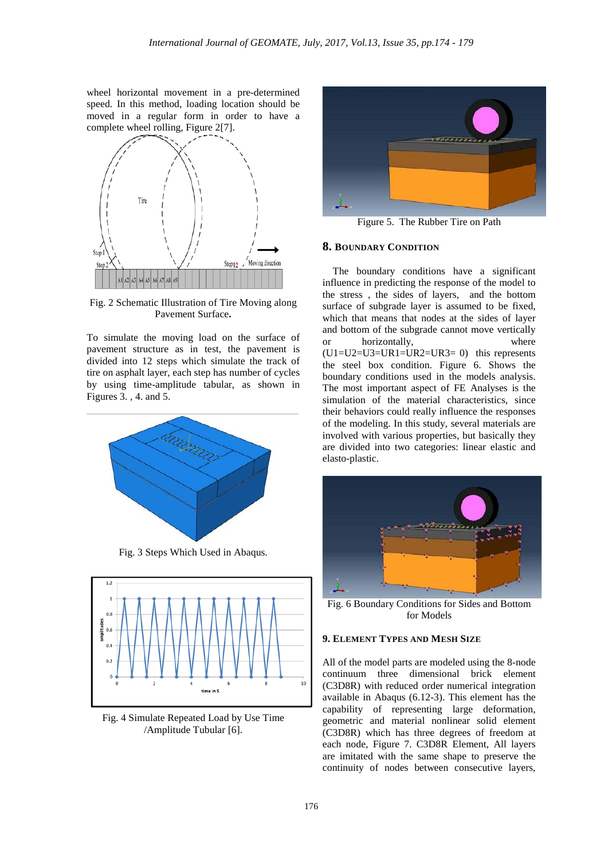wheel horizontal movement in a pre-determined speed. In this method, loading location should be moved in a regular form in order to have a complete wheel rolling, Figure 2[7].



Fig. 2 Schematic Illustration of Tire Moving along Pavement Surface**.**

To simulate the moving load on the surface of pavement structure as in test, the pavement is divided into 12 steps which simulate the track of tire on asphalt layer, each step has number of cycles by using time-amplitude tabular, as shown in Figures 3. , 4. and 5.



Fig. 3 Steps Which Used in Abaqus.



Fig. 4 Simulate Repeated Load by Use Time /Amplitude Tubular [6].



Figure 5. The Rubber Tire on Path

#### **8. BOUNDARY CONDITION**

 The boundary conditions have a significant influence in predicting the response of the model to the stress , the sides of layers, and the bottom surface of subgrade layer is assumed to be fixed, which that means that nodes at the sides of layer and bottom of the subgrade cannot move vertically or horizontally, where  $(U1=U2=U3=UR1=UR2=UR3= 0)$  this represents the steel box condition. Figure 6. Shows the boundary conditions used in the models analysis. The most important aspect of FE Analyses is the simulation of the material characteristics, since their behaviors could really influence the responses of the modeling. In this study, several materials are involved with various properties, but basically they are divided into two categories: linear elastic and elasto-plastic.



Fig. 6 Boundary Conditions for Sides and Bottom for Models

### **9. ELEMENT TYPES AND MESH SIZE**

All of the model parts are modeled using the 8-node continuum three dimensional brick element (C3D8R) with reduced order numerical integration available in Abaqus (6.12-3). This element has the capability of representing large deformation, geometric and material nonlinear solid element (C3D8R) which has three degrees of freedom at each node, Figure 7. C3D8R Element, All layers are imitated with the same shape to preserve the continuity of nodes between consecutive layers,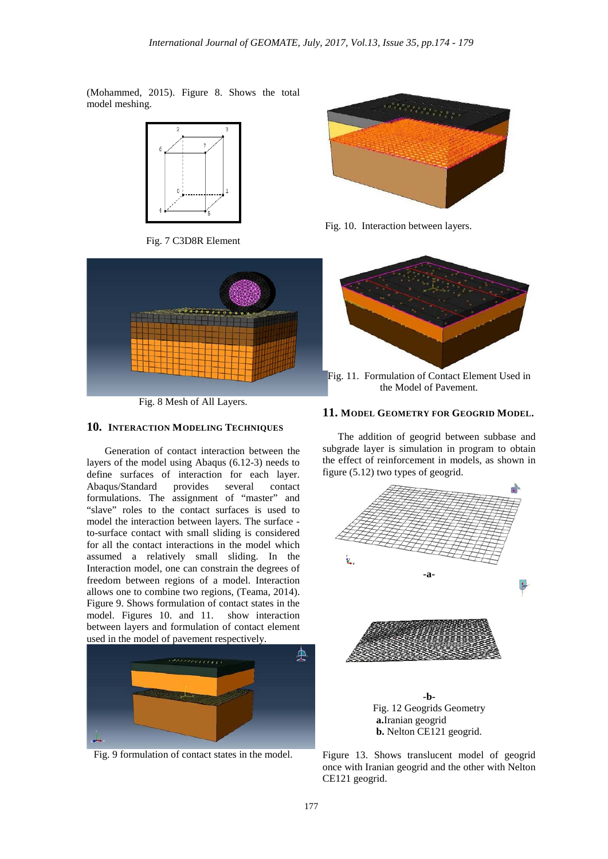(Mohammed, 2015). Figure 8. Shows the total model meshing.



Fig. 7 C3D8R Element



Fig. 8 Mesh of All Layers.

### **10. INTERACTION MODELING TECHNIQUES**

 Generation of contact interaction between the layers of the model using Abaqus (6.12-3) needs to define surfaces of interaction for each layer. Abaqus/Standard provides several contact formulations. The assignment of "master" and "slave" roles to the contact surfaces is used to model the interaction between layers. The surface to-surface contact with small sliding is considered for all the contact interactions in the model which assumed a relatively small sliding. In the Interaction model, one can constrain the degrees of freedom between regions of a model. Interaction allows one to combine two regions, (Teama, 2014). Figure 9. Shows formulation of contact states in the model. Figures 10. and 11. show interaction between layers and formulation of contact element used in the model of pavement respectively.



Fig. 9 formulation of contact states in the model.



Fig. 10. Interaction between layers.



Fig. 11. Formulation of Contact Element Used in the Model of Pavement.

### **11. MODEL GEOMETRY FOR GEOGRID MODEL.**

 The addition of geogrid between subbase and subgrade layer is simulation in program to obtain the effect of reinforcement in models, as shown in figure (5.12) two types of geogrid.



Figure 13. Shows translucent model of geogrid once with Iranian geogrid and the other with Nelton CE121 geogrid.

**b.** Nelton CE121 geogrid.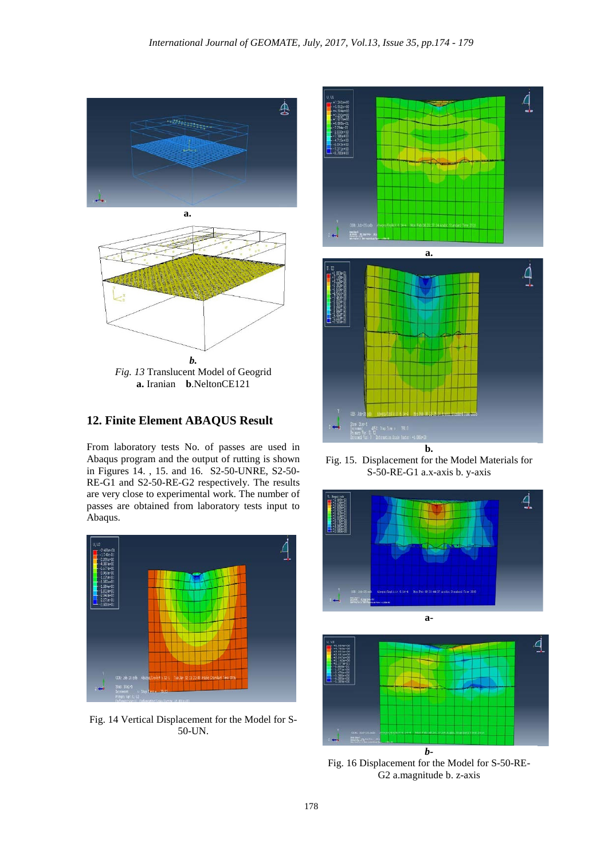



## **12. Finite Element ABAQUS Result**

From laboratory tests No. of passes are used in Abaqus program and the output of rutting is shown in Figures 14. , 15. and 16. S2-50-UNRE, S2-50- RE-G1 and S2-50-RE-G2 respectively. The results are very close to experimental work. The number of passes are obtained from laboratory tests input to Abaqus.



Fig. 14 Vertical Displacement for the Model for S-50-UN.



Fig. 15. Displacement for the Model Materials for S-50-RE-G1 a.x-axis b. y-axis





Fig. 16 Displacement for the Model for S-50-RE-G2 a.magnitude b. z-axis